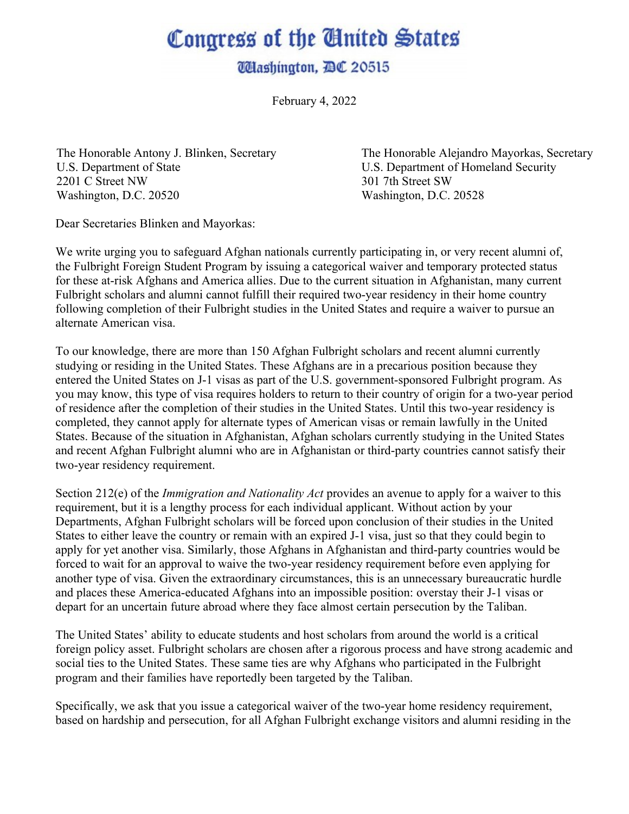## Congress of the United States

**UHashington, BC 20515** 

February 4, 2022

The Honorable Antony J. Blinken, Secretary U.S. Department of State 2201 C Street NW Washington, D.C. 20520

The Honorable Alejandro Mayorkas, Secretary U.S. Department of Homeland Security 301 7th Street SW Washington, D.C. 20528

Dear Secretaries Blinken and Mayorkas:

We write urging you to safeguard Afghan nationals currently participating in, or very recent alumni of, the Fulbright Foreign Student Program by issuing a categorical waiver and temporary protected status for these at-risk Afghans and America allies. Due to the current situation in Afghanistan, many current Fulbright scholars and alumni cannot fulfill their required two-year residency in their home country following completion of their Fulbright studies in the United States and require a waiver to pursue an alternate American visa.

To our knowledge, there are more than 150 Afghan Fulbright scholars and recent alumni currently studying or residing in the United States. These Afghans are in a precarious position because they entered the United States on J-1 visas as part of the U.S. government-sponsored Fulbright program. As you may know, this type of visa requires holders to return to their country of origin for a two-year period of residence after the completion of their studies in the United States. Until this two-year residency is completed, they cannot apply for alternate types of American visas or remain lawfully in the United States. Because of the situation in Afghanistan, Afghan scholars currently studying in the United States and recent Afghan Fulbright alumni who are in Afghanistan or third-party countries cannot satisfy their two-year residency requirement.

Section 212(e) of the *Immigration and Nationality Act* provides an avenue to apply for a waiver to this requirement, but it is a lengthy process for each individual applicant. Without action by your Departments, Afghan Fulbright scholars will be forced upon conclusion of their studies in the United States to either leave the country or remain with an expired J-1 visa, just so that they could begin to apply for yet another visa. Similarly, those Afghans in Afghanistan and third-party countries would be forced to wait for an approval to waive the two-year residency requirement before even applying for another type of visa. Given the extraordinary circumstances, this is an unnecessary bureaucratic hurdle and places these America-educated Afghans into an impossible position: overstay their J-1 visas or depart for an uncertain future abroad where they face almost certain persecution by the Taliban.

The United States' ability to educate students and host scholars from around the world is a critical foreign policy asset. Fulbright scholars are chosen after a rigorous process and have strong academic and social ties to the United States. These same ties are why Afghans who participated in the Fulbright program and their families have reportedly been targeted by the Taliban.

Specifically, we ask that you issue a categorical waiver of the two-year home residency requirement, based on hardship and persecution, for all Afghan Fulbright exchange visitors and alumni residing in the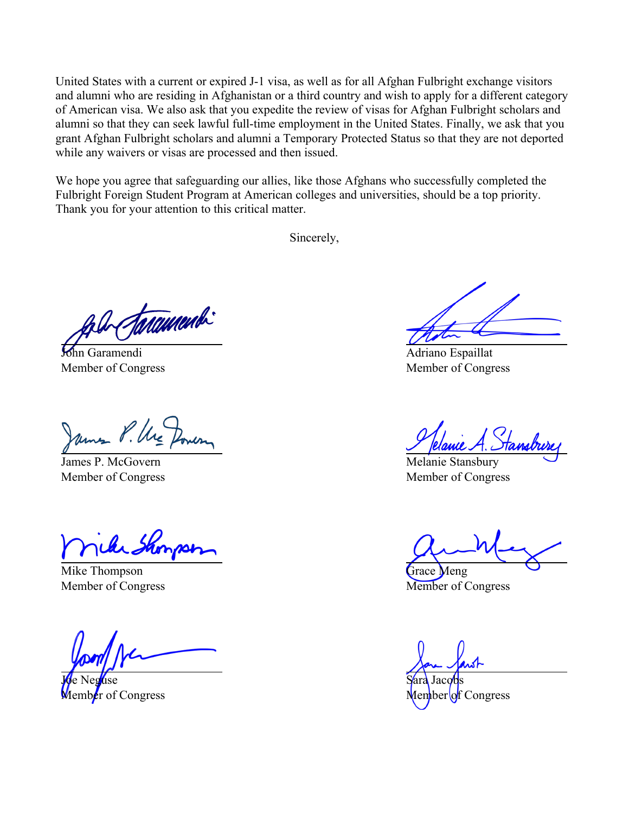United States with a current or expired J-1 visa, as well as for all Afghan Fulbright exchange visitors and alumni who are residing in Afghanistan or a third country and wish to apply for a different category of American visa. We also ask that you expedite the review of visas for Afghan Fulbright scholars and alumni so that they can seek lawful full-time employment in the United States. Finally, we ask that you grant Afghan Fulbright scholars and alumni a Temporary Protected Status so that they are not deported while any waivers or visas are processed and then issued.

We hope you agree that safeguarding our allies, like those Afghans who successfully completed the Fulbright Foreign Student Program at American colleges and universities, should be a top priority. Thank you for your attention to this critical matter.

Sincerely,

taramendi

John Garamendi Member of Congress

James P. McGovern Member of Congress

Mike Thompson Member of Congress

Joe Neguse Member of Congress

Adriano Espaillat Member of Congress

Melanie Stansbury Member of Congress

Grace Meng Member of Congress

Sara Jacobs

Congress<sup></sup>